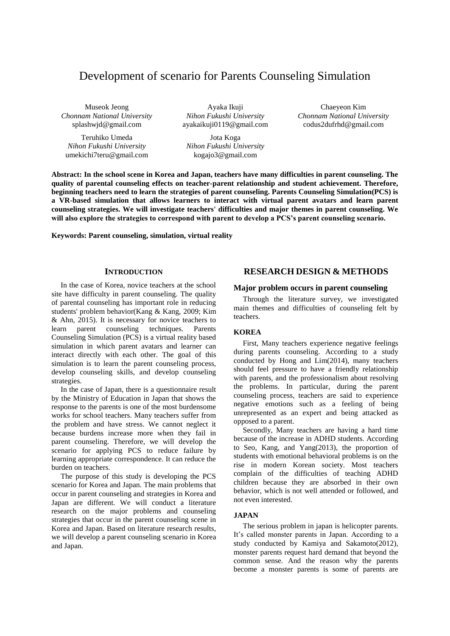# Development of scenario for Parents Counseling Simulation

Museok Jeong *Chonnam National University* splashwjd@gmail.com

Teruhiko Umeda *Nihon Fukushi University* umekichi7teru@gmail.com

Ayaka Ikuji *Nihon Fukushi University* ayakaikuji0119@gmail.com

Jota Koga *Nihon Fukushi University* kogajo3@gmail.com

Chaeyeon Kim *Chonnam National University* codus2dufrhd@gmail.com

**Abstract: In the school scene in Korea and Japan, teachers have many difficulties in parent counseling. The quality of parental counseling effects on teacher-parent relationship and student achievement. Therefore, beginning teachers need to learn the strategies of parent counseling. Parents Counseling Simulation(PCS) is a VR-based simulation that allows learners to interact with virtual parent avatars and learn parent counseling strategies. We will investigate teachers' difficulties and major themes in parent counseling. We will also explore the strategies to correspond with parent to develop a PCS's parent counseling scenario.**

**Keywords: Parent counseling, simulation, virtual reality**

## **INTRODUCTION**

In the case of Korea, novice teachers at the school site have difficulty in parent counseling. The quality of parental counseling has important role in reducing students' problem behavior(Kang & Kang, 2009; Kim & Ahn, 2015). It is necessary for novice teachers to learn parent counseling techniques. Parents Counseling Simulation (PCS) is a virtual reality based simulation in which parent avatars and learner can interact directly with each other. The goal of this simulation is to learn the parent counseling process, develop counseling skills, and develop counseling strategies.

In the case of Japan, there is a questionnaire result by the Ministry of Education in Japan that shows the response to the parents is one of the most burdensome works for school teachers. Many teachers suffer from the problem and have stress. We cannot neglect it because burdens increase more when they fail in parent counseling. Therefore, we will develop the scenario for applying PCS to reduce failure by learning appropriate correspondence. It can reduce the burden on teachers.

The purpose of this study is developing the PCS scenario for Korea and Japan. The main problems that occur in parent counseling and strategies in Korea and Japan are different. We will conduct a literature research on the major problems and counseling strategies that occur in the parent counseling scene in Korea and Japan. Based on literature research results, we will develop a parent counseling scenario in Korea and Japan.

# **RESEARCH DESIGN & METHODS**

# **Major problem occurs in parent counseling**

Through the literature survey, we investigated main themes and difficulties of counseling felt by teachers.

# **KOREA**

First, Many teachers experience negative feelings during parents counseling. According to a study conducted by Hong and Lim(2014), many teachers should feel pressure to have a friendly relationship with parents, and the professionalism about resolving the problems. In particular, during the parent counseling process, teachers are said to experience negative emotions such as a feeling of being unrepresented as an expert and being attacked as opposed to a parent.

Secondly, Many teachers are having a hard time because of the increase in ADHD students. According to Seo, Kang, and Yang(2013), the proportion of students with emotional behavioral problems is on the rise in modern Korean society. Most teachers complain of the difficulties of teaching ADHD children because they are absorbed in their own behavior, which is not well attended or followed, and not even interested.

# **JAPAN**

The serious problem in japan is helicopter parents. It's called monster parents in Japan. According to a study conducted by Kamiya and Sakamoto(2012), monster parents request hard demand that beyond the common sense. And the reason why the parents become a monster parents is some of parents are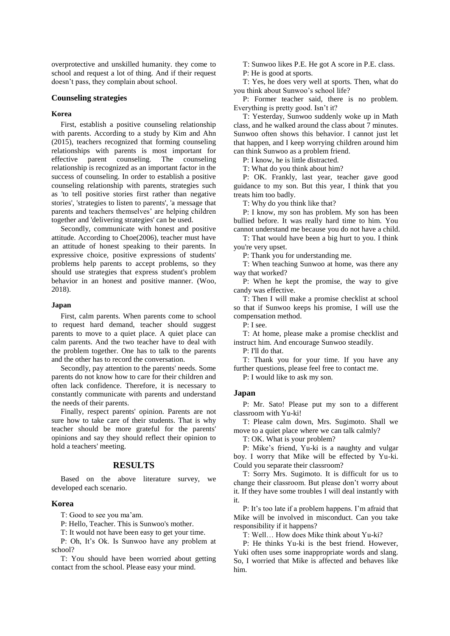overprotective and unskilled humanity. they come to school and request a lot of thing. And if their request doesn't pass, they complain about school.

# **Counseling strategies**

### **Korea**

First, establish a positive counseling relationship with parents. According to a study by Kim and Ahn (2015), teachers recognized that forming counseling relationships with parents is most important for effective parent counseling. The counseling relationship is recognized as an important factor in the success of counseling. In order to establish a positive counseling relationship with parents, strategies such as 'to tell positive stories first rather than negative stories', 'strategies to listen to parents', 'a message that parents and teachers themselves' are helping children together and 'delivering strategies' can be used.

Secondly, communicate with honest and positive attitude. According to Choe(2006), teacher must have an attitude of honest speaking to their parents. In expressive choice, positive expressions of students' problems help parents to accept problems, so they should use strategies that express student's problem behavior in an honest and positive manner. (Woo, 2018).

# **Japan**

First, calm parents. When parents come to school to request hard demand, teacher should suggest parents to move to a quiet place. A quiet place can calm parents. And the two teacher have to deal with the problem together. One has to talk to the parents and the other has to record the conversation.

Secondly, pay attention to the parents' needs. Some parents do not know how to care for their children and often lack confidence. Therefore, it is necessary to constantly communicate with parents and understand the needs of their parents.

Finally, respect parents' opinion. Parents are not sure how to take care of their students. That is why teacher should be more grateful for the parents' opinions and say they should reflect their opinion to hold a teachers' meeting.

# **RESULTS**

Based on the above literature survey, we developed each scenario.

#### **Korea**

T: Good to see you ma'am.

P: Hello, Teacher. This is Sunwoo's mother.

T: It would not have been easy to get your time.

P: Oh, It's Ok. Is Sunwoo have any problem at school?

T: You should have been worried about getting contact from the school. Please easy your mind.

T: Sunwoo likes P.E. He got A score in P.E. class. P: He is good at sports.

T: Yes, he does very well at sports. Then, what do you think about Sunwoo's school life?

P: Former teacher said, there is no problem. Everything is pretty good. Isn't it?

T: Yesterday, Sunwoo suddenly woke up in Math class, and he walked around the class about 7 minutes. Sunwoo often shows this behavior. I cannot just let that happen, and I keep worrying children around him can think Sunwoo as a problem friend.

P: I know, he is little distracted.

T: What do you think about him?

P: OK. Frankly, last year, teacher gave good guidance to my son. But this year, I think that you treats him too badly.

T: Why do you think like that?

P: I know, my son has problem. My son has been bullied before. It was really hard time to him. You cannot understand me because you do not have a child.

T: That would have been a big hurt to you. I think you're very upset.

P: Thank you for understanding me.

T: When teaching Sunwoo at home, was there any way that worked?

P: When he kept the promise, the way to give candy was effective.

T: Then I will make a promise checklist at school so that if Sunwoo keeps his promise, I will use the compensation method.

P: I see.

T: At home, please make a promise checklist and instruct him. And encourage Sunwoo steadily.

P: I'll do that.

T: Thank you for your time. If you have any further questions, please feel free to contact me.

P: I would like to ask my son.

# **Japan**

P: Mr. Sato! Please put my son to a different classroom with Yu-ki!

T: Please calm down, Mrs. Sugimoto. Shall we move to a quiet place where we can talk calmly?

T: OK. What is your problem?

P: Mike's friend, Yu-ki is a naughty and vulgar boy. I worry that Mike will be effected by Yu-ki. Could you separate their classroom?

T: Sorry Mrs. Sugimoto. It is difficult for us to change their classroom. But please don't worry about it. If they have some troubles I will deal instantly with it.

P: It's too late if a problem happens. I'm afraid that Mike will be involved in misconduct. Can you take responsibility if it happens?

T: Well… How does Mike think about Yu-ki?

P: He thinks Yu-ki is the best friend. However, Yuki often uses some inappropriate words and slang. So, I worried that Mike is affected and behaves like him.